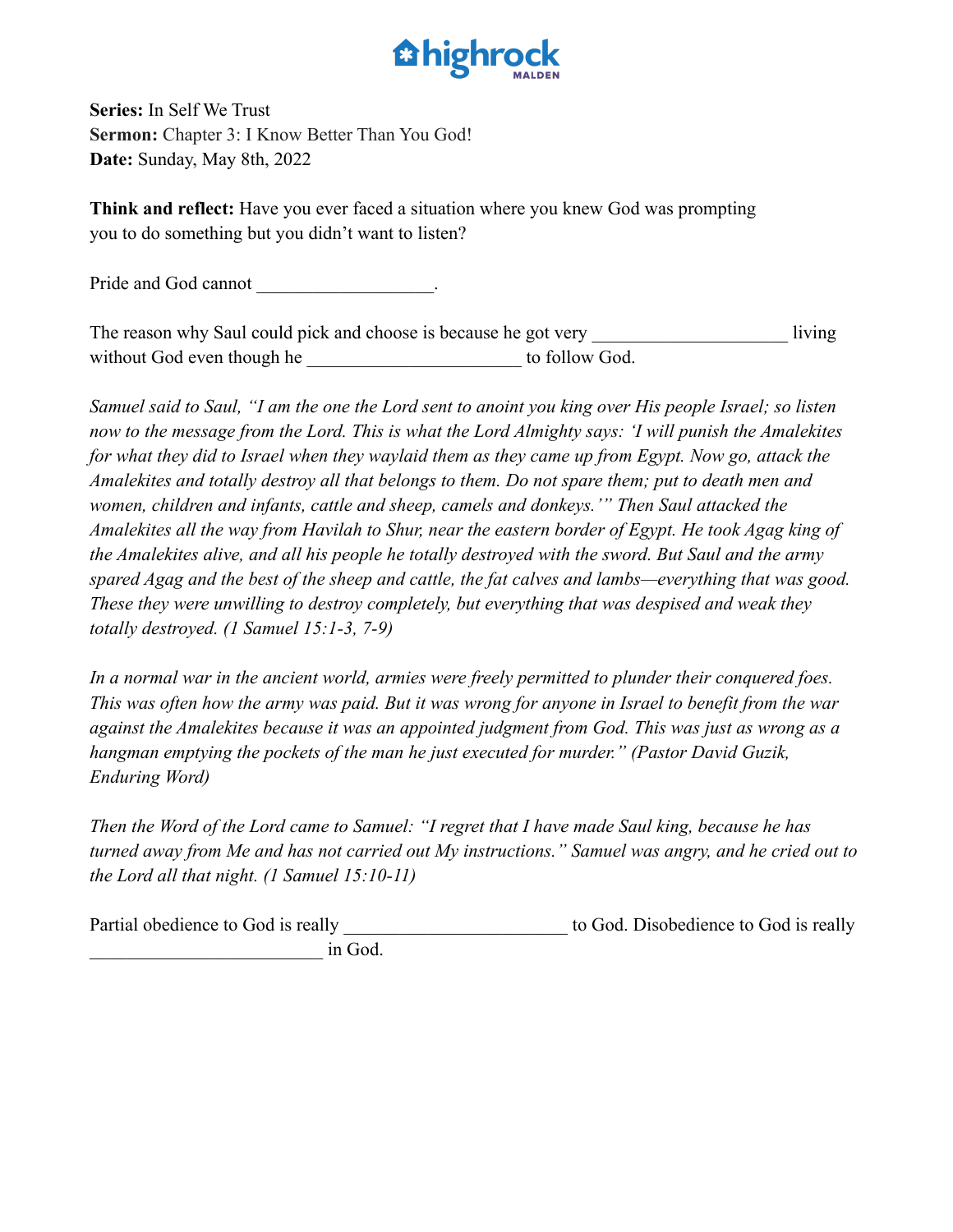

**Series:** In Self We Trust **Sermon:** Chapter 3: I Know Better Than You God! **Date:** Sunday, May 8th, 2022

**Think and reflect:** Have you ever faced a situation where you knew God was prompting you to do something but you didn't want to listen?

Pride and God cannot

The reason why Saul could pick and choose is because he got very living without God even though he to follow God.

*Samuel said to Saul, "I am the one the Lord sent to anoint you king over His people Israel; so listen now to the message from the Lord. This is what the Lord Almighty says: 'I will punish the Amalekites for what they did to Israel when they waylaid them as they came up from Egypt. Now go, attack the Amalekites and totally destroy all that belongs to them. Do not spare them; put to death men and women, children and infants, cattle and sheep, camels and donkeys.'" Then Saul attacked the Amalekites all the way from Havilah to Shur, near the eastern border of Egypt. He took Agag king of the Amalekites alive, and all his people he totally destroyed with the sword. But Saul and the army spared Agag and the best of the sheep and cattle, the fat calves and lambs—everything that was good. These they were unwilling to destroy completely, but everything that was despised and weak they totally destroyed. (1 Samuel 15:1-3, 7-9)*

*In a normal war in the ancient world, armies were freely permitted to plunder their conquered foes. This was often how the army was paid. But it was wrong for anyone in Israel to benefit from the war against the Amalekites because it was an appointed judgment from God. This was just as wrong as a hangman emptying the pockets of the man he just executed for murder." (Pastor David Guzik, Enduring Word)*

*Then the Word of the Lord came to Samuel: "I regret that I have made Saul king, because he has turned away from Me and has not carried out My instructions." Samuel was angry, and he cried out to the Lord all that night. (1 Samuel 15:10-11)*

Partial obedience to God is really to God. Disobedience to God is really in God.